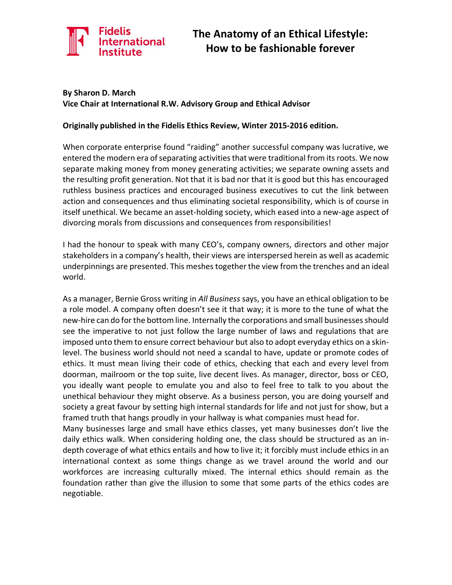

#### **By Sharon D. March Vice Chair at International R.W. Advisory Group and Ethical Advisor**

#### **Originally published in the Fidelis Ethics Review, Winter 2015-2016 edition.**

When corporate enterprise found "raiding" another successful company was lucrative, we entered the modern era of separating activities that were traditional from its roots. We now separate making money from money generating activities; we separate owning assets and the resulting profit generation. Not that it is bad nor that it is good but this has encouraged ruthless business practices and encouraged business executives to cut the link between action and consequences and thus eliminating societal responsibility, which is of course in itself unethical. We became an asset-holding society, which eased into a new-age aspect of divorcing morals from discussions and consequences from responsibilities!

I had the honour to speak with many CEO's, company owners, directors and other major stakeholders in a company's health, their views are interspersed herein as well as academic underpinnings are presented. This meshes together the view from the trenches and an ideal world.

As a manager, Bernie Gross writing in *All Business* says, you have an ethical obligation to be a role model. A company often doesn't see it that way; it is more to the tune of what the new-hire can do for the bottom line. Internally the corporations and small businesses should see the imperative to not just follow the large number of laws and regulations that are imposed unto them to ensure correct behaviour but also to adopt everyday ethics on a skinlevel. The business world should not need a scandal to have, update or promote codes of ethics. It must mean living their code of ethics, checking that each and every level from doorman, mailroom or the top suite, live decent lives. As manager, director, boss or CEO, you ideally want people to emulate you and also to feel free to talk to you about the unethical behaviour they might observe. As a business person, you are doing yourself and society a great favour by setting high internal standards for life and not just for show, but a framed truth that hangs proudly in your hallway is what companies must head for.

Many businesses large and small have ethics classes, yet many businesses don't live the daily ethics walk. When considering holding one, the class should be structured as an indepth coverage of what ethics entails and how to live it; it forcibly must include ethics in an international context as some things change as we travel around the world and our workforces are increasing culturally mixed. The internal ethics should remain as the foundation rather than give the illusion to some that some parts of the ethics codes are negotiable.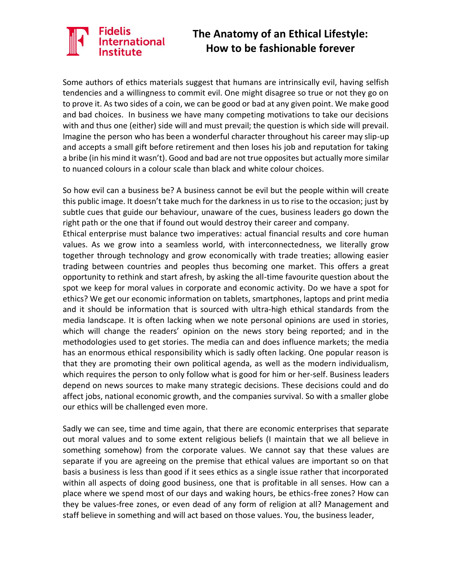# **International**

### **The Anatomy of an Ethical Lifestyle: How to be fashionable forever**

Some authors of ethics materials suggest that humans are intrinsically evil, having selfish tendencies and a willingness to commit evil. One might disagree so true or not they go on to prove it. As two sides of a coin, we can be good or bad at any given point. We make good and bad choices. In business we have many competing motivations to take our decisions with and thus one (either) side will and must prevail; the question is which side will prevail. Imagine the person who has been a wonderful character throughout his career may slip-up and accepts a small gift before retirement and then loses his job and reputation for taking a bribe (in his mind it wasn't). Good and bad are not true opposites but actually more similar to nuanced colours in a colour scale than black and white colour choices.

So how evil can a business be? A business cannot be evil but the people within will create this public image. It doesn't take much for the darkness in us to rise to the occasion; just by subtle cues that guide our behaviour, unaware of the cues, business leaders go down the right path or the one that if found out would destroy their career and company.

Ethical enterprise must balance two imperatives: actual financial results and core human values. As we grow into a seamless world, with interconnectedness, we literally grow together through technology and grow economically with trade treaties; allowing easier trading between countries and peoples thus becoming one market. This offers a great opportunity to rethink and start afresh, by asking the all-time favourite question about the spot we keep for moral values in corporate and economic activity. Do we have a spot for ethics? We get our economic information on tablets, smartphones, laptops and print media and it should be information that is sourced with ultra-high ethical standards from the media landscape. It is often lacking when we note personal opinions are used in stories, which will change the readers' opinion on the news story being reported; and in the methodologies used to get stories. The media can and does influence markets; the media has an enormous ethical responsibility which is sadly often lacking. One popular reason is that they are promoting their own political agenda, as well as the modern individualism, which requires the person to only follow what is good for him or her-self. Business leaders depend on news sources to make many strategic decisions. These decisions could and do affect jobs, national economic growth, and the companies survival. So with a smaller globe our ethics will be challenged even more.

Sadly we can see, time and time again, that there are economic enterprises that separate out moral values and to some extent religious beliefs (I maintain that we all believe in something somehow) from the corporate values. We cannot say that these values are separate if you are agreeing on the premise that ethical values are important so on that basis a business is less than good if it sees ethics as a single issue rather that incorporated within all aspects of doing good business, one that is profitable in all senses. How can a place where we spend most of our days and waking hours, be ethics-free zones? How can they be values-free zones, or even dead of any form of religion at all? Management and staff believe in something and will act based on those values. You, the business leader,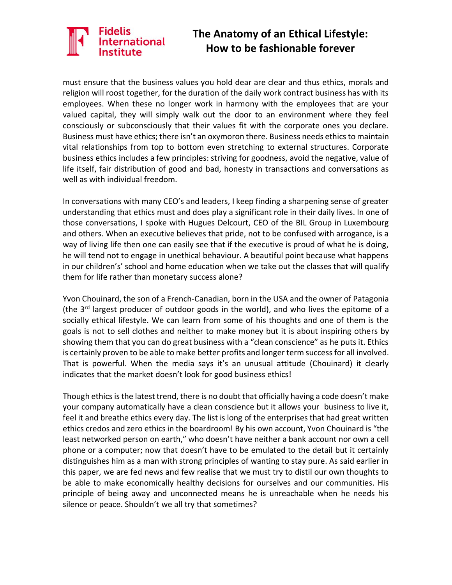# nacus<br>International

### **The Anatomy of an Ethical Lifestyle: How to be fashionable forever**

must ensure that the business values you hold dear are clear and thus ethics, morals and religion will roost together, for the duration of the daily work contract business has with its employees. When these no longer work in harmony with the employees that are your valued capital, they will simply walk out the door to an environment where they feel consciously or subconsciously that their values fit with the corporate ones you declare. Business must have ethics; there isn't an oxymoron there. Business needs ethics to maintain vital relationships from top to bottom even stretching to external structures. Corporate business ethics includes a few principles: striving for goodness, avoid the negative, value of life itself, fair distribution of good and bad, honesty in transactions and conversations as well as with individual freedom.

In conversations with many CEO's and leaders, I keep finding a sharpening sense of greater understanding that ethics must and does play a significant role in their daily lives. In one of those conversations, I spoke with Hugues Delcourt, CEO of the BIL Group in Luxembourg and others. When an executive believes that pride, not to be confused with arrogance, is a way of living life then one can easily see that if the executive is proud of what he is doing, he will tend not to engage in unethical behaviour. A beautiful point because what happens in our children's' school and home education when we take out the classes that will qualify them for life rather than monetary success alone?

Yvon Chouinard, the son of a French-Canadian, born in the USA and the owner of Patagonia (the 3<sup>rd</sup> largest producer of outdoor goods in the world), and who lives the epitome of a socially ethical lifestyle. We can learn from some of his thoughts and one of them is the goals is not to sell clothes and neither to make money but it is about inspiring others by showing them that you can do great business with a "clean conscience" as he puts it. Ethics is certainly proven to be able to make better profits and longer term success for all involved. That is powerful. When the media says it's an unusual attitude (Chouinard) it clearly indicates that the market doesn't look for good business ethics!

Though ethics is the latest trend, there is no doubt that officially having a code doesn't make your company automatically have a clean conscience but it allows your business to live it, feel it and breathe ethics every day. The list is long of the enterprises that had great written ethics credos and zero ethics in the boardroom! By his own account, Yvon Chouinard is "the least networked person on earth," who doesn't have neither a bank account nor own a cell phone or a computer; now that doesn't have to be emulated to the detail but it certainly distinguishes him as a man with strong principles of wanting to stay pure. As said earlier in this paper, we are fed news and few realise that we must try to distil our own thoughts to be able to make economically healthy decisions for ourselves and our communities. His principle of being away and unconnected means he is unreachable when he needs his silence or peace. Shouldn't we all try that sometimes?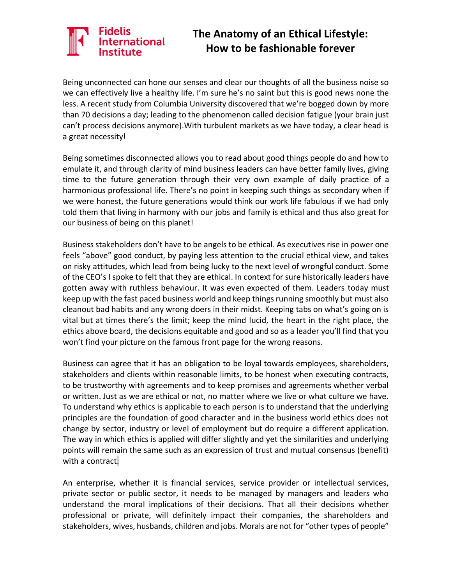# ernational

### **The Anatomy of an Ethical Lifestyle: How to be fashionable forever**

Being unconnected can hone our senses and clear our thoughts of all the business noise so we can effectively live a healthy life. I'm sure he's no saint but this is good news none the less. A recent study from Columbia University discovered that we're bogged down by more than 70 decisions a day; leading to the phenomenon called decision fatigue (your brain just can't process decisions anymore).With turbulent markets as we have today, a clear head is a great necessity!

Being sometimes disconnected allows you to read about good things people do and how to emulate it, and through clarity of mind business leaders can have better family lives, giving time to the future generation through their very own example of daily practice of a harmonious professional life. There's no point in keeping such things as secondary when if we were honest, the future generations would think our work life fabulous if we had only told them that living in harmony with our jobs and family is ethical and thus also great for our business of being on this planet!

Business stakeholders don't have to be angels to be ethical. As executives rise in power one feels "above" good conduct, by paying less attention to the crucial ethical view, and takes on risky attitudes, which lead from being lucky to the next level of wrongful conduct. Some of the CEO's I spoke to felt that they are ethical. In context for sure historically leaders have gotten away with ruthless behaviour. It was even expected of them. Leaders today must keep up with the fast paced business world and keep things running smoothly but must also cleanout bad habits and any wrong doers in their midst. Keeping tabs on what's going on is vital but at times there's the limit; keep the mind lucid, the heart in the right place, the ethics above board, the decisions equitable and good and so as a leader you'll find that you won't find your picture on the famous front page for the wrong reasons.

Business can agree that it has an obligation to be loyal towards employees, shareholders, stakeholders and clients within reasonable limits, to be honest when executing contracts, to be trustworthy with agreements and to keep promises and agreements whether verbal or written. Just as we are ethical or not, no matter where we live or what culture we have. To understand why ethics is applicable to each person is to understand that the underlying principles are the foundation of good character and in the business world ethics does not change by sector, industry or level of employment but do require a different application. The way in which ethics is applied will differ slightly and yet the similarities and underlying points will remain the same such as an expression of trust and mutual consensus (benefit) with a contract.

An enterprise, whether it is financial services, service provider or intellectual services, private sector or public sector, it needs to be managed by managers and leaders who understand the moral implications of their decisions. That all their decisions whether professional or private, will definitely impact their companies, the shareholders and stakeholders, wives, husbands, children and jobs. Morals are not for "other types of people"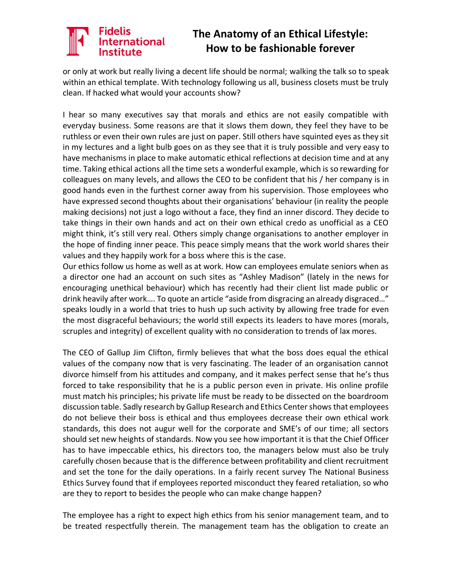### **International**

#### **The Anatomy of an Ethical Lifestyle: How to be fashionable forever**

or only at work but really living a decent life should be normal; walking the talk so to speak within an ethical template. With technology following us all, business closets must be truly clean. If hacked what would your accounts show?

I hear so many executives say that morals and ethics are not easily compatible with everyday business. Some reasons are that it slows them down, they feel they have to be ruthless or even their own rules are just on paper. Still others have squinted eyes as they sit in my lectures and a light bulb goes on as they see that it is truly possible and very easy to have mechanisms in place to make automatic ethical reflections at decision time and at any time. Taking ethical actions all the time sets a wonderful example, which is so rewarding for colleagues on many levels, and allows the CEO to be confident that his / her company is in good hands even in the furthest corner away from his supervision. Those employees who have expressed second thoughts about their organisations' behaviour (in reality the people making decisions) not just a logo without a face, they find an inner discord. They decide to take things in their own hands and act on their own ethical credo as unofficial as a CEO might think, it's still very real. Others simply change organisations to another employer in the hope of finding inner peace. This peace simply means that the work world shares their values and they happily work for a boss where this is the case.

Our ethics follow us home as well as at work. How can employees emulate seniors when as a director one had an account on such sites as "Ashley Madison" (lately in the news for encouraging unethical behaviour) which has recently had their client list made public or drink heavily after work…. To quote an article "aside from disgracing an already disgraced…" speaks loudly in a world that tries to hush up such activity by allowing free trade for even the most disgraceful behaviours; the world still expects its leaders to have mores (morals, scruples and integrity) of excellent quality with no consideration to trends of lax mores.

The CEO of Gallup Jim Clifton, firmly believes that what the boss does equal the ethical values of the company now that is very fascinating. The leader of an organisation cannot divorce himself from his attitudes and company, and it makes perfect sense that he's thus forced to take responsibility that he is a public person even in private. His online profile must match his principles; his private life must be ready to be dissected on the boardroom discussion table. Sadly research by Gallup Research and Ethics Center shows that employees do not believe their boss is ethical and thus employees decrease their own ethical work standards, this does not augur well for the corporate and SME's of our time; all sectors should set new heights of standards. Now you see how important it is that the Chief Officer has to have impeccable ethics, his directors too, the managers below must also be truly carefully chosen because that is the difference between profitability and client recruitment and set the tone for the daily operations. In a fairly recent survey The National Business Ethics Survey found that if employees reported misconduct they feared retaliation, so who are they to report to besides the people who can make change happen?

The employee has a right to expect high ethics from his senior management team, and to be treated respectfully therein. The management team has the obligation to create an